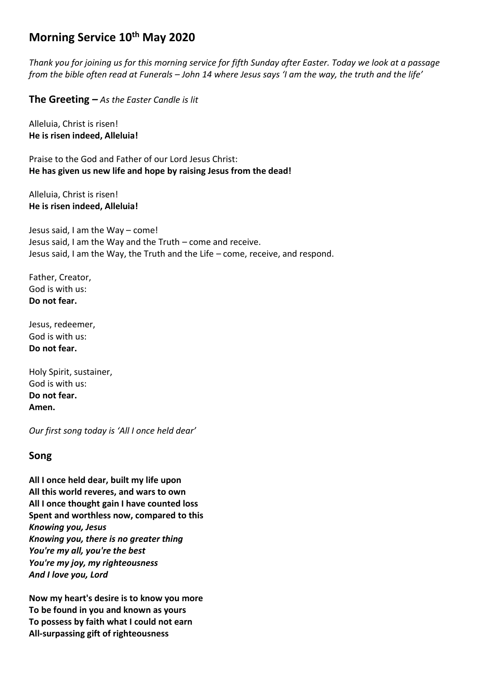# **Morning Service 10th May 2020**

*Thank you for joining us for this morning service for fifth Sunday after Easter. Today we look at a passage from the bible often read at Funerals – John 14 where Jesus says 'I am the way, the truth and the life'*

**The Greeting** *– As the Easter Candle is lit*

Alleluia, Christ is risen! **He is risen indeed, Alleluia!**

Praise to the God and Father of our Lord Jesus Christ: **He has given us new life and hope by raising Jesus from the dead!**

Alleluia, Christ is risen! **He is risen indeed, Alleluia!**

Jesus said, I am the Way – come! Jesus said, I am the Way and the Truth – come and receive. Jesus said, I am the Way, the Truth and the Life – come, receive, and respond.

Father, Creator, God is with us: **Do not fear.**

Jesus, redeemer, God is with us: **Do not fear.**

Holy Spirit, sustainer, God is with us: **Do not fear. Amen.**

*Our first song today is 'All I once held dear'*

# **Song**

**All I once held dear, built my life upon All this world reveres, and wars to own All I once thought gain I have counted loss Spent and worthless now, compared to this** *Knowing you, Jesus Knowing you, there is no greater thing You're my all, you're the best You're my joy, my righteousness And I love you, Lord*

**Now my heart's desire is to know you more To be found in you and known as yours To possess by faith what I could not earn All-surpassing gift of righteousness**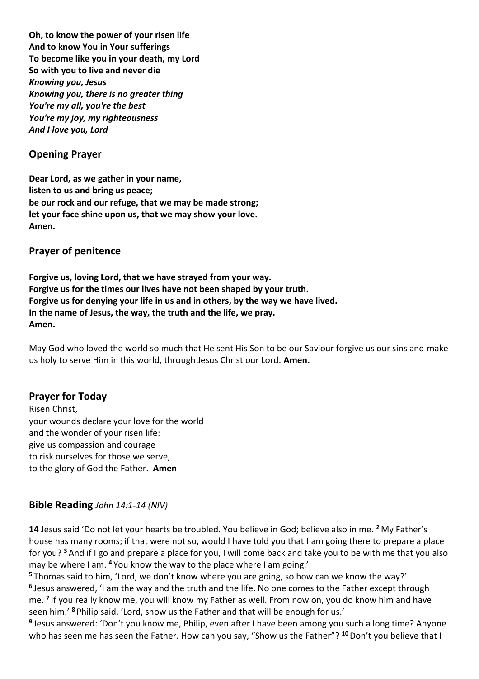**Oh, to know the power of your risen life And to know You in Your sufferings To become like you in your death, my Lord So with you to live and never die** *Knowing you, Jesus Knowing you, there is no greater thing You're my all, you're the best You're my joy, my righteousness And I love you, Lord*

# **Opening Prayer**

**Dear Lord, as we gather in your name, listen to us and bring us peace; be our rock and our refuge, that we may be made strong; let your face shine upon us, that we may show your love. Amen.**

# **Prayer of penitence**

**Forgive us, loving Lord, that we have strayed from your way. Forgive us for the times our lives have not been shaped by your truth. Forgive us for denying your life in us and in others, by the way we have lived. In the name of Jesus, the way, the truth and the life, we pray. Amen.**

May God who loved the world so much that He sent His Son to be our Saviour forgive us our sins and make us holy to serve Him in this world, through Jesus Christ our Lord. **Amen.**

# **Prayer for Today**

Risen Christ, your wounds declare your love for the world and the wonder of your risen life: give us compassion and courage to risk ourselves for those we serve, to the glory of God the Father. **Amen**

# **Bible Reading** *John 14:1-14 (NIV)*

**14** Jesus said 'Do not let your hearts be troubled. You believe in God; believe also in me. **<sup>2</sup>** My Father's house has many rooms; if that were not so, would I have told you that I am going there to prepare a place for you? **<sup>3</sup>** And if I go and prepare a place for you, I will come back and take you to be with me that you also may be where I am. **<sup>4</sup>** You know the way to the place where I am going.'

**<sup>5</sup>** Thomas said to him, 'Lord, we don't know where you are going, so how can we know the way?' **6** Jesus answered, 'I am the way and the truth and the life. No one comes to the Father except through me. **<sup>7</sup>** If you really know me, you will know my Father as well. From now on, you do know him and have seen him.' **<sup>8</sup>** Philip said, 'Lord, show us the Father and that will be enough for us.'

**9** Jesus answered: 'Don't you know me, Philip, even after I have been among you such a long time? Anyone who has seen me has seen the Father. How can you say, "Show us the Father"? **<sup>10</sup>**Don't you believe that I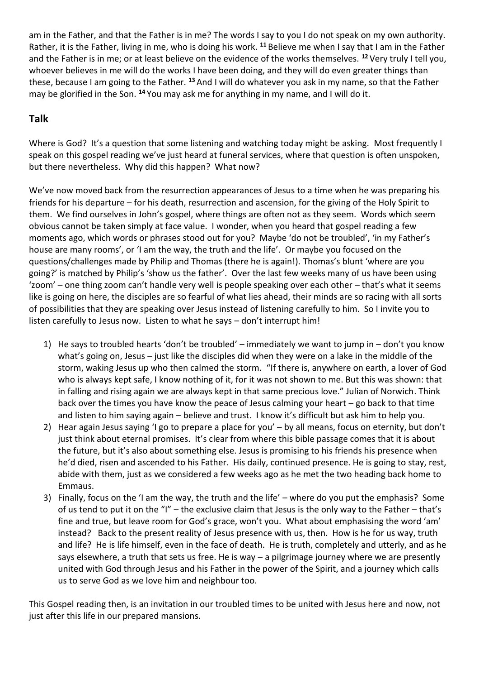am in the Father, and that the Father is in me? The words I say to you I do not speak on my own authority. Rather, it is the Father, living in me, who is doing his work. **<sup>11</sup>** Believe me when I say that I am in the Father and the Father is in me; or at least believe on the evidence of the works themselves. **<sup>12</sup>** Very truly I tell you, whoever believes in me will do the works I have been doing, and they will do even greater things than these, because I am going to the Father. **<sup>13</sup>** And I will do whatever you ask in my name, so that the Father may be glorified in the Son. **<sup>14</sup>** You may ask me for anything in my name, and I will do it.

# **Talk**

Where is God? It's a question that some listening and watching today might be asking. Most frequently I speak on this gospel reading we've just heard at funeral services, where that question is often unspoken, but there nevertheless. Why did this happen? What now?

We've now moved back from the resurrection appearances of Jesus to a time when he was preparing his friends for his departure – for his death, resurrection and ascension, for the giving of the Holy Spirit to them. We find ourselves in John's gospel, where things are often not as they seem. Words which seem obvious cannot be taken simply at face value. I wonder, when you heard that gospel reading a few moments ago, which words or phrases stood out for you? Maybe 'do not be troubled', 'in my Father's house are many rooms', or 'I am the way, the truth and the life'. Or maybe you focused on the questions/challenges made by Philip and Thomas (there he is again!). Thomas's blunt 'where are you going?' is matched by Philip's 'show us the father'. Over the last few weeks many of us have been using 'zoom' – one thing zoom can't handle very well is people speaking over each other – that's what it seems like is going on here, the disciples are so fearful of what lies ahead, their minds are so racing with all sorts of possibilities that they are speaking over Jesus instead of listening carefully to him. So I invite you to listen carefully to Jesus now. Listen to what he says – don't interrupt him!

- 1) He says to troubled hearts 'don't be troubled' immediately we want to jump in don't you know what's going on, Jesus – just like the disciples did when they were on a lake in the middle of the storm, waking Jesus up who then calmed the storm. "If there is, anywhere on earth, a lover of God who is always kept safe, I know nothing of it, for it was not shown to me. But this was shown: that in falling and rising again we are always kept in that same precious love." Julian of Norwich. Think back over the times you have know the peace of Jesus calming your heart – go back to that time and listen to him saying again – believe and trust. I know it's difficult but ask him to help you.
- 2) Hear again Jesus saying 'I go to prepare a place for you' by all means, focus on eternity, but don't just think about eternal promises. It's clear from where this bible passage comes that it is about the future, but it's also about something else. Jesus is promising to his friends his presence when he'd died, risen and ascended to his Father. His daily, continued presence. He is going to stay, rest, abide with them, just as we considered a few weeks ago as he met the two heading back home to Emmaus.
- 3) Finally, focus on the 'I am the way, the truth and the life' where do you put the emphasis? Some of us tend to put it on the "I" – the exclusive claim that Jesus is the only way to the Father – that's fine and true, but leave room for God's grace, won't you. What about emphasising the word 'am' instead? Back to the present reality of Jesus presence with us, then. How is he for us way, truth and life? He is life himself, even in the face of death. He is truth, completely and utterly, and as he says elsewhere, a truth that sets us free. He is way – a pilgrimage journey where we are presently united with God through Jesus and his Father in the power of the Spirit, and a journey which calls us to serve God as we love him and neighbour too.

This Gospel reading then, is an invitation in our troubled times to be united with Jesus here and now, not just after this life in our prepared mansions.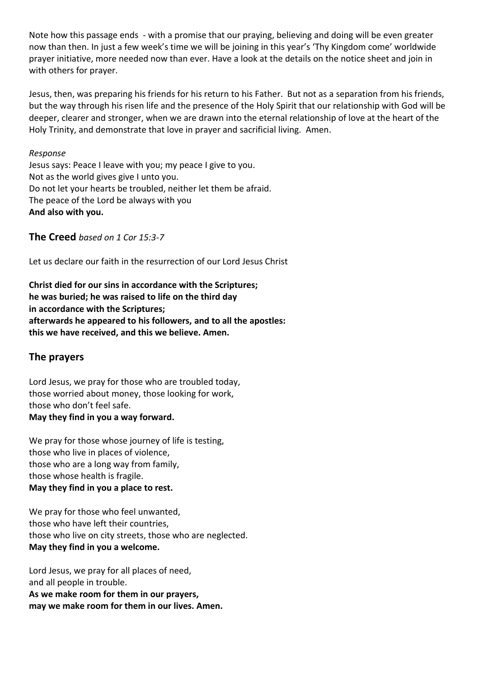Note how this passage ends - with a promise that our praying, believing and doing will be even greater now than then. In just a few week's time we will be joining in this year's 'Thy Kingdom come' worldwide prayer initiative, more needed now than ever. Have a look at the details on the notice sheet and join in with others for prayer.

Jesus, then, was preparing his friends for his return to his Father. But not as a separation from his friends, but the way through his risen life and the presence of the Holy Spirit that our relationship with God will be deeper, clearer and stronger, when we are drawn into the eternal relationship of love at the heart of the Holy Trinity, and demonstrate that love in prayer and sacrificial living. Amen.

#### *Response*

Jesus says: Peace I leave with you; my peace I give to you. Not as the world gives give I unto you. Do not let your hearts be troubled, neither let them be afraid. The peace of the Lord be always with you **And also with you.**

**The Creed** *based on 1 Cor 15:3-7*

Let us declare our faith in the resurrection of our Lord Jesus Christ

**Christ died for our sins in accordance with the Scriptures; he was buried; he was raised to life on the third day in accordance with the Scriptures; afterwards he appeared to his followers, and to all the apostles: this we have received, and this we believe. Amen.**

# **The prayers**

Lord Jesus, we pray for those who are troubled today, those worried about money, those looking for work, those who don't feel safe.

#### **May they find in you a way forward.**

We pray for those whose journey of life is testing, those who live in places of violence, those who are a long way from family, those whose health is fragile. **May they find in you a place to rest.**

We pray for those who feel unwanted, those who have left their countries, those who live on city streets, those who are neglected. **May they find in you a welcome.**

Lord Jesus, we pray for all places of need, and all people in trouble. **As we make room for them in our prayers, may we make room for them in our lives. Amen.**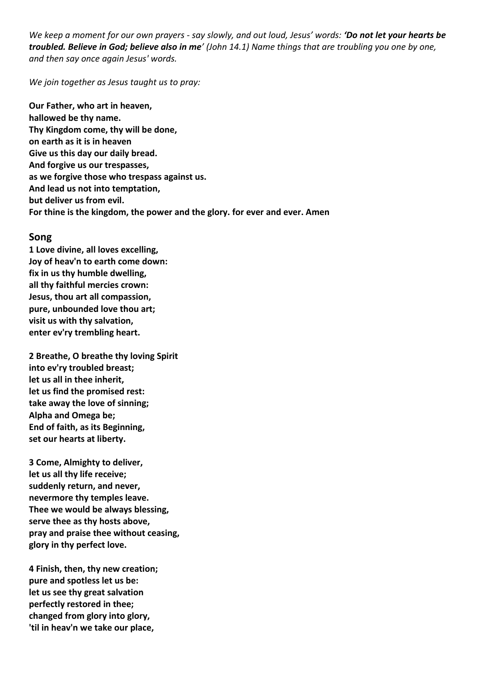*We keep a moment for our own prayers - say slowly, and out loud, Jesus' words: 'Do not let your hearts be troubled. Believe in God; believe also in me' (John 14.1) Name things that are troubling you one by one, and then say once again Jesus' words.*

*We join together as Jesus taught us to pray:*

**Our Father, who art in heaven, hallowed be thy name. Thy Kingdom come, thy will be done, on earth as it is in heaven Give us this day our daily bread. And forgive us our trespasses, as we forgive those who trespass against us. And lead us not into temptation, but deliver us from evil. For thine is the kingdom, the power and the glory. for ever and ever. Amen**

#### **Song**

**1 Love divine, all loves excelling, Joy of heav'n to earth come down: fix in us thy humble dwelling, all thy faithful mercies crown: Jesus, thou art all compassion, pure, unbounded love thou art; visit us with thy salvation, enter ev'ry trembling heart.**

**2 Breathe, O breathe thy loving Spirit into ev'ry troubled breast; let us all in thee inherit, let us find the promised rest: take away the love of sinning; Alpha and Omega be; End of faith, as its Beginning, set our hearts at liberty.**

**3 Come, Almighty to deliver, let us all thy life receive; suddenly return, and never, nevermore thy temples leave. Thee we would be always blessing, serve thee as thy hosts above, pray and praise thee without ceasing, glory in thy perfect love.**

**4 Finish, then, thy new creation; pure and spotless let us be: let us see thy great salvation perfectly restored in thee; changed from glory into glory, 'til in heav'n we take our place,**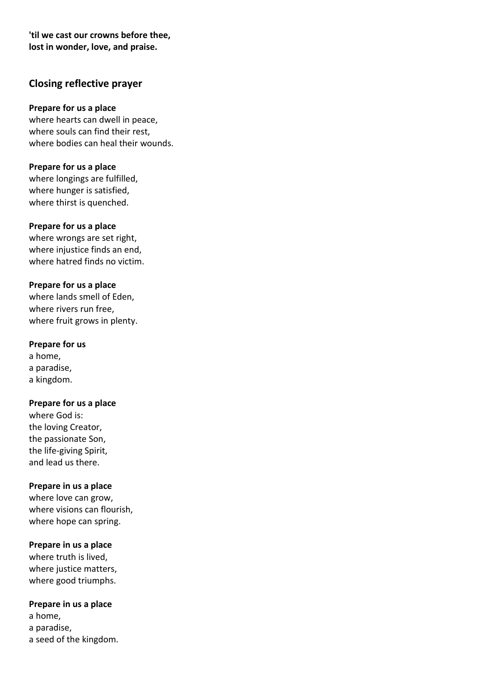**'til we cast our crowns before thee, lost in wonder, love, and praise.**

# **Closing reflective prayer**

### **Prepare for us a place**

where hearts can dwell in peace, where souls can find their rest, where bodies can heal their wounds.

**Prepare for us a place** where longings are fulfilled, where hunger is satisfied, where thirst is quenched.

#### **Prepare for us a place**

where wrongs are set right, where injustice finds an end, where hatred finds no victim.

#### **Prepare for us a place**

where lands smell of Eden, where rivers run free, where fruit grows in plenty.

### **Prepare for us**

a home, a paradise, a kingdom.

### **Prepare for us a place**

where God is: the loving Creator, the passionate Son, the life-giving Spirit, and lead us there.

### **Prepare in us a place**

where love can grow, where visions can flourish, where hope can spring.

### **Prepare in us a place**

where truth is lived, where justice matters, where good triumphs.

#### **Prepare in us a place**

a home, a paradise, a seed of the kingdom.